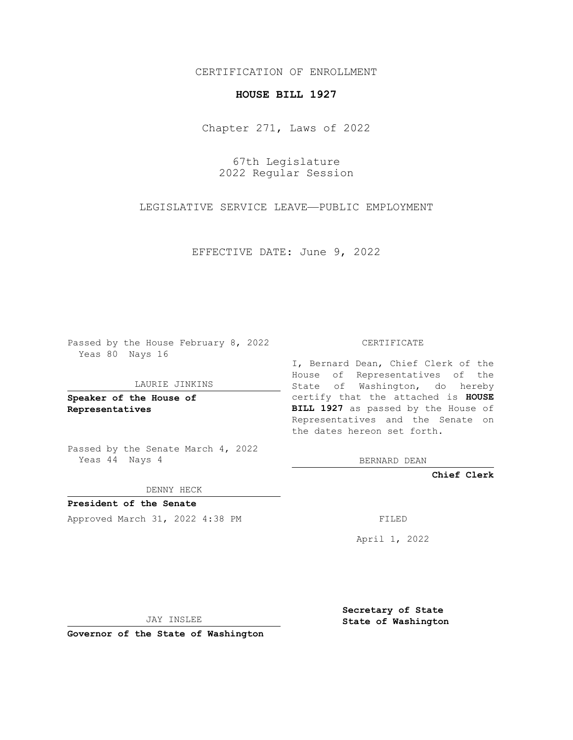## CERTIFICATION OF ENROLLMENT

## **HOUSE BILL 1927**

Chapter 271, Laws of 2022

67th Legislature 2022 Regular Session

LEGISLATIVE SERVICE LEAVE—PUBLIC EMPLOYMENT

EFFECTIVE DATE: June 9, 2022

Passed by the House February 8, 2022 Yeas 80 Nays 16

LAURIE JINKINS

**Speaker of the House of Representatives**

Passed by the Senate March 4, 2022 Yeas 44 Nays 4

DENNY HECK

**President of the Senate** Approved March 31, 2022 4:38 PM FILED

CERTIFICATE

I, Bernard Dean, Chief Clerk of the House of Representatives of the State of Washington, do hereby certify that the attached is **HOUSE BILL 1927** as passed by the House of Representatives and the Senate on the dates hereon set forth.

BERNARD DEAN

**Chief Clerk**

April 1, 2022

JAY INSLEE

**Governor of the State of Washington**

**Secretary of State State of Washington**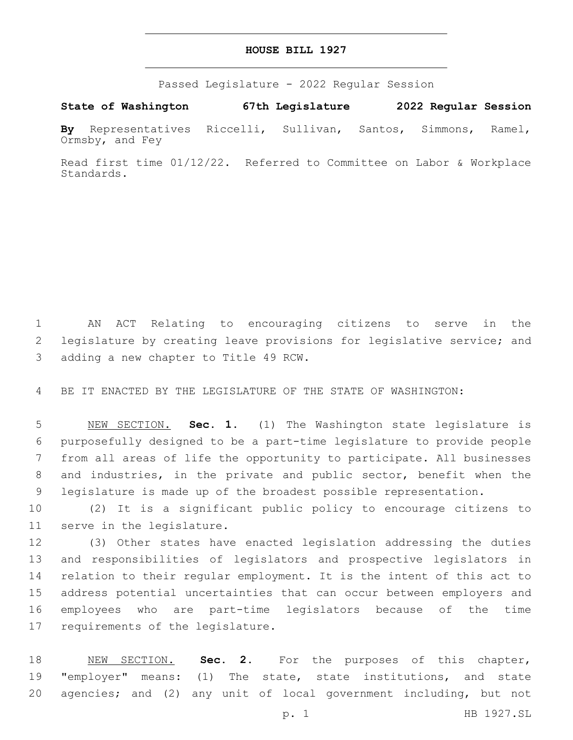## **HOUSE BILL 1927**

Passed Legislature - 2022 Regular Session

**State of Washington 67th Legislature 2022 Regular Session**

**By** Representatives Riccelli, Sullivan, Santos, Simmons, Ramel, Ormsby, and Fey

Read first time 01/12/22. Referred to Committee on Labor & Workplace Standards.

 AN ACT Relating to encouraging citizens to serve in the legislature by creating leave provisions for legislative service; and 3 adding a new chapter to Title 49 RCW.

BE IT ENACTED BY THE LEGISLATURE OF THE STATE OF WASHINGTON:

 NEW SECTION. **Sec. 1.** (1) The Washington state legislature is purposefully designed to be a part-time legislature to provide people from all areas of life the opportunity to participate. All businesses and industries, in the private and public sector, benefit when the legislature is made up of the broadest possible representation.

 (2) It is a significant public policy to encourage citizens to 11 serve in the legislature.

 (3) Other states have enacted legislation addressing the duties and responsibilities of legislators and prospective legislators in relation to their regular employment. It is the intent of this act to address potential uncertainties that can occur between employers and employees who are part-time legislators because of the time 17 requirements of the legislature.

 NEW SECTION. **Sec. 2.** For the purposes of this chapter, "employer" means: (1) The state, state institutions, and state agencies; and (2) any unit of local government including, but not